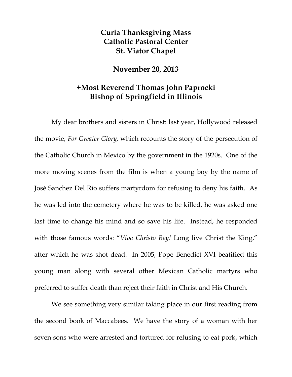## **Curia Thanksgiving Mass Catholic Pastoral Center St. Viator Chapel**

## **November 20, 2013**

## **+Most Reverend Thomas John Paprocki Bishop of Springfield in Illinois**

My dear brothers and sisters in Christ: last year, Hollywood released the movie, *For Greater Glory,* which recounts the story of the persecution of the Catholic Church in Mexico by the government in the 1920s. One of the more moving scenes from the film is when a young boy by the name of José Sanchez Del Rio suffers martyrdom for refusing to deny his faith. As he was led into the cemetery where he was to be killed, he was asked one last time to change his mind and so save his life. Instead, he responded with those famous words: "*Viva Christo Rey!* Long live Christ the King," after which he was shot dead. In 2005, Pope Benedict XVI beatified this young man along with several other Mexican Catholic martyrs who preferred to suffer death than reject their faith in Christ and His Church.

We see something very similar taking place in our first reading from the second book of Maccabees. We have the story of a woman with her seven sons who were arrested and tortured for refusing to eat pork, which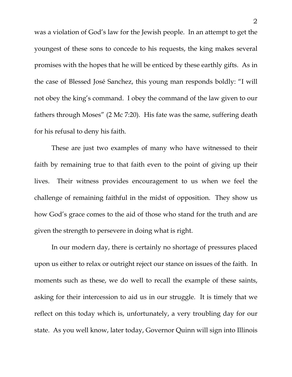was a violation of God's law for the Jewish people. In an attempt to get the youngest of these sons to concede to his requests, the king makes several promises with the hopes that he will be enticed by these earthly gifts. As in the case of Blessed José Sanchez, this young man responds boldly: "I will not obey the king's command. I obey the command of the law given to our fathers through Moses" (2 Mc 7:20). His fate was the same, suffering death for his refusal to deny his faith.

These are just two examples of many who have witnessed to their faith by remaining true to that faith even to the point of giving up their lives. Their witness provides encouragement to us when we feel the challenge of remaining faithful in the midst of opposition. They show us how God's grace comes to the aid of those who stand for the truth and are given the strength to persevere in doing what is right.

 In our modern day, there is certainly no shortage of pressures placed upon us either to relax or outright reject our stance on issues of the faith. In moments such as these, we do well to recall the example of these saints, asking for their intercession to aid us in our struggle. It is timely that we reflect on this today which is, unfortunately, a very troubling day for our state. As you well know, later today, Governor Quinn will sign into Illinois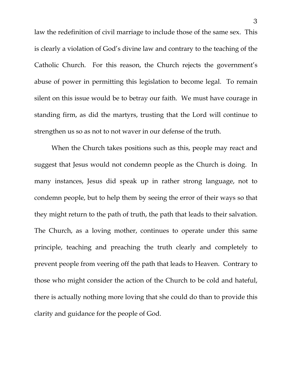law the redefinition of civil marriage to include those of the same sex. This is clearly a violation of God's divine law and contrary to the teaching of the Catholic Church. For this reason, the Church rejects the government's abuse of power in permitting this legislation to become legal. To remain silent on this issue would be to betray our faith. We must have courage in standing firm, as did the martyrs, trusting that the Lord will continue to strengthen us so as not to not waver in our defense of the truth.

 When the Church takes positions such as this, people may react and suggest that Jesus would not condemn people as the Church is doing. In many instances, Jesus did speak up in rather strong language, not to condemn people, but to help them by seeing the error of their ways so that they might return to the path of truth, the path that leads to their salvation. The Church, as a loving mother, continues to operate under this same principle, teaching and preaching the truth clearly and completely to prevent people from veering off the path that leads to Heaven. Contrary to those who might consider the action of the Church to be cold and hateful, there is actually nothing more loving that she could do than to provide this clarity and guidance for the people of God.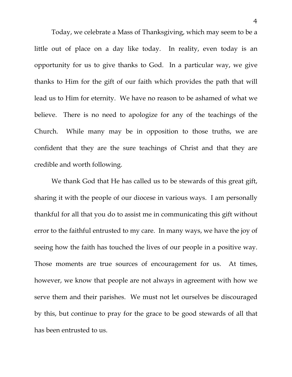Today, we celebrate a Mass of Thanksgiving, which may seem to be a little out of place on a day like today. In reality, even today is an opportunity for us to give thanks to God. In a particular way, we give thanks to Him for the gift of our faith which provides the path that will lead us to Him for eternity. We have no reason to be ashamed of what we believe. There is no need to apologize for any of the teachings of the Church. While many may be in opposition to those truths, we are confident that they are the sure teachings of Christ and that they are credible and worth following.

We thank God that He has called us to be stewards of this great gift, sharing it with the people of our diocese in various ways. I am personally thankful for all that you do to assist me in communicating this gift without error to the faithful entrusted to my care. In many ways, we have the joy of seeing how the faith has touched the lives of our people in a positive way. Those moments are true sources of encouragement for us. At times, however, we know that people are not always in agreement with how we serve them and their parishes. We must not let ourselves be discouraged by this, but continue to pray for the grace to be good stewards of all that has been entrusted to us.